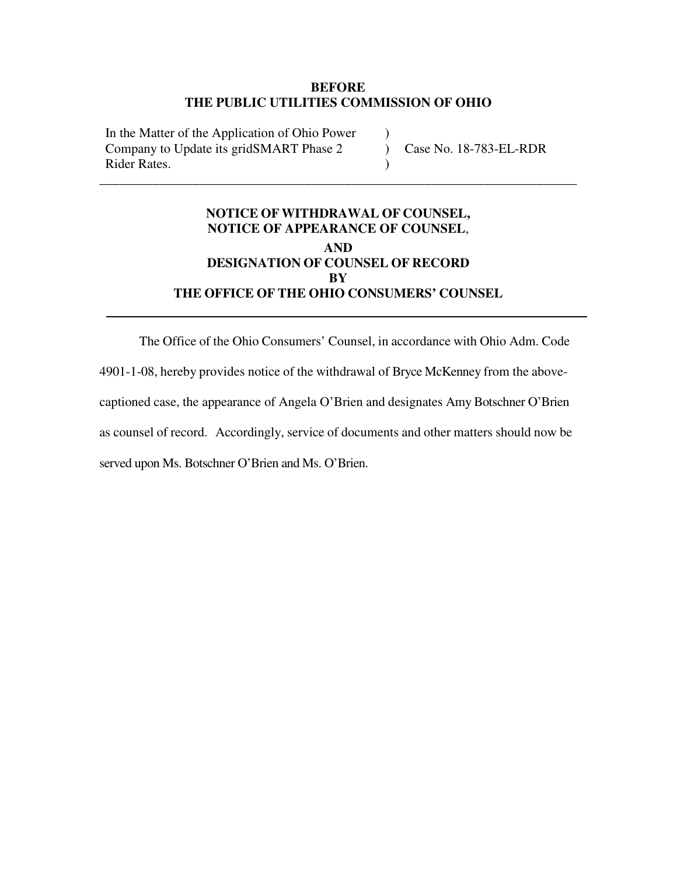#### **BEFORE THE PUBLIC UTILITIES COMMISSION OF OHIO**

 $\mathcal{L}$ 

)

In the Matter of the Application of Ohio Power Company to Update its gridSMART Phase 2 Rider Rates.

) Case No. 18-783-EL-RDR

# **NOTICE OF WITHDRAWAL OF COUNSEL, NOTICE OF APPEARANCE OF COUNSEL**, **AND DESIGNATION OF COUNSEL OF RECORD BY THE OFFICE OF THE OHIO CONSUMERS' COUNSEL**

\_\_\_\_\_\_\_\_\_\_\_\_\_\_\_\_\_\_\_\_\_\_\_\_\_\_\_\_\_\_\_\_\_\_\_\_\_\_\_\_\_\_\_\_\_\_\_\_\_\_\_\_\_\_\_\_\_\_\_\_\_\_\_\_\_\_\_\_\_\_\_\_

The Office of the Ohio Consumers' Counsel, in accordance with Ohio Adm. Code 4901-1-08, hereby provides notice of the withdrawal of Bryce McKenney from the abovecaptioned case, the appearance of Angela O'Brien and designates Amy Botschner O'Brien as counsel of record. Accordingly, service of documents and other matters should now be served upon Ms. Botschner O'Brien and Ms. O'Brien.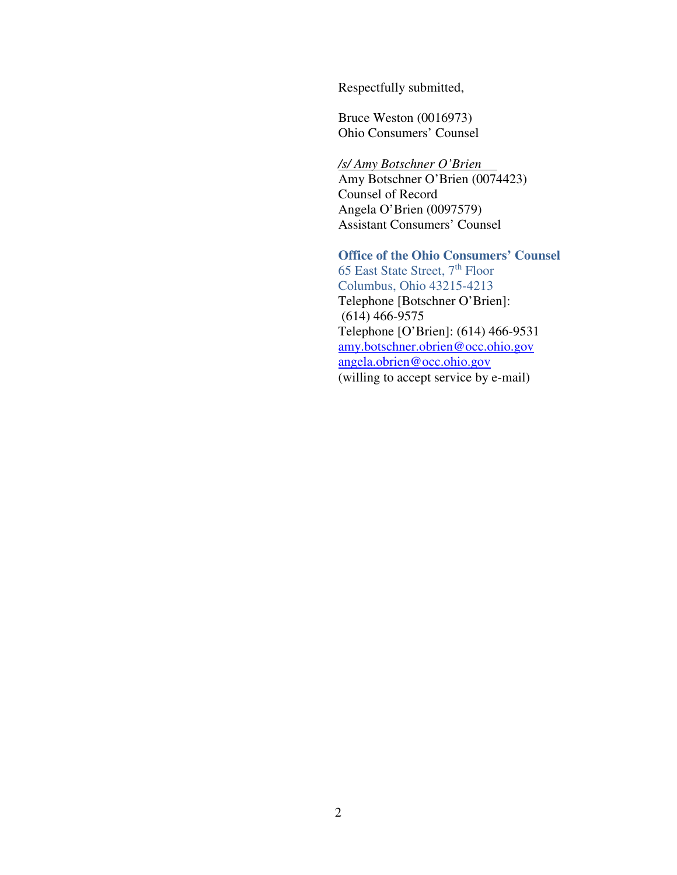Respectfully submitted,

Bruce Weston (0016973) Ohio Consumers' Counsel

*/s/ Amy Botschner O'Brien*  Amy Botschner O'Brien (0074423) Counsel of Record Angela O'Brien (0097579) Assistant Consumers' Counsel

**Office of the Ohio Consumers' Counsel**  65 East State Street, 7<sup>th</sup> Floor Columbus, Ohio 43215-4213 Telephone [Botschner O'Brien]: (614) 466-9575 Telephone [O'Brien]: (614) 466-9531 amy.botschner.obrien@occ.ohio.gov angela.obrien@occ.ohio.gov

(willing to accept service by e-mail)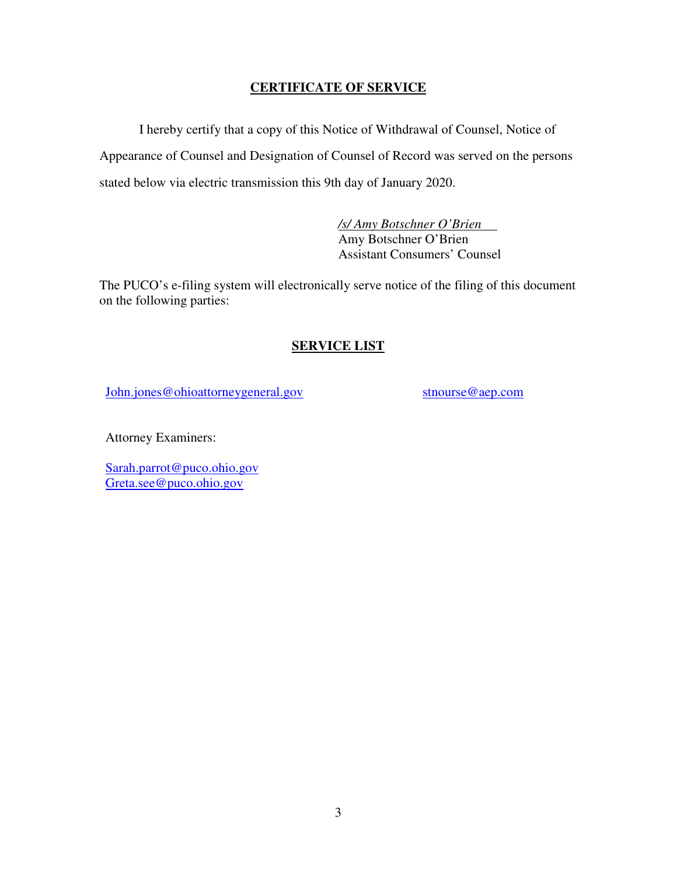### **CERTIFICATE OF SERVICE**

I hereby certify that a copy of this Notice of Withdrawal of Counsel, Notice of Appearance of Counsel and Designation of Counsel of Record was served on the persons stated below via electric transmission this 9th day of January 2020.

> */s/ Amy Botschner O'Brien*  Amy Botschner O'Brien Assistant Consumers' Counsel

The PUCO's e-filing system will electronically serve notice of the filing of this document on the following parties:

## **SERVICE LIST**

John.jones@ohioattorneygeneral.gov

stnourse@aep.com

Attorney Examiners:

Sarah.parrot@puco.ohio.gov Greta.see@puco.ohio.gov